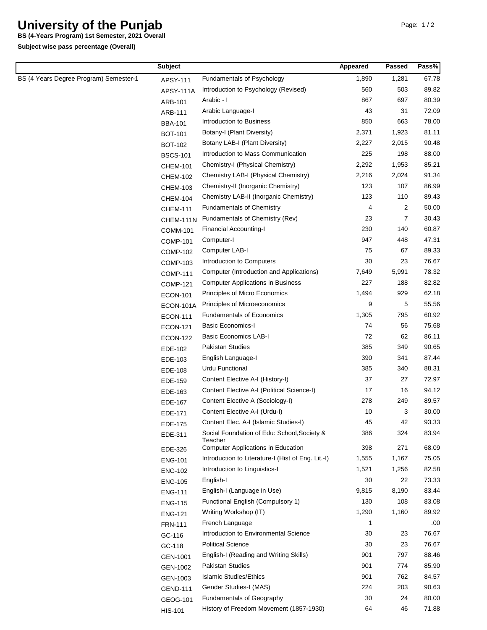## **University of the Punjab**

**BS (4-Years Program) 1st Semester, 2021 Overall**

**Subject wise pass percentage (Overall)**

|                                        | <b>Subject</b>   |                                                        | Appeared | Passed | Pass% |
|----------------------------------------|------------------|--------------------------------------------------------|----------|--------|-------|
| BS (4 Years Degree Program) Semester-1 | APSY-111         | Fundamentals of Psychology                             | 1,890    | 1,281  | 67.78 |
|                                        | <b>APSY-111A</b> | Introduction to Psychology (Revised)                   | 560      | 503    | 89.82 |
|                                        | ARB-101          | Arabic - I                                             | 867      | 697    | 80.39 |
|                                        | ARB-111          | Arabic Language-I                                      | 43       | 31     | 72.09 |
|                                        | <b>BBA-101</b>   | Introduction to Business                               | 850      | 663    | 78.00 |
|                                        | <b>BOT-101</b>   | Botany-I (Plant Diversity)                             | 2,371    | 1,923  | 81.11 |
|                                        | <b>BOT-102</b>   | Botany LAB-I (Plant Diversity)                         | 2,227    | 2,015  | 90.48 |
|                                        | <b>BSCS-101</b>  | Introduction to Mass Communication                     | 225      | 198    | 88.00 |
|                                        | <b>CHEM-101</b>  | Chemistry-I (Physical Chemistry)                       | 2,292    | 1,953  | 85.21 |
|                                        | <b>CHEM-102</b>  | Chemistry LAB-I (Physical Chemistry)                   | 2,216    | 2,024  | 91.34 |
|                                        | <b>CHEM-103</b>  | Chemistry-II (Inorganic Chemistry)                     | 123      | 107    | 86.99 |
|                                        | <b>CHEM-104</b>  | Chemistry LAB-II (Inorganic Chemistry)                 | 123      | 110    | 89.43 |
|                                        | <b>CHEM-111</b>  | <b>Fundamentals of Chemistry</b>                       | 4        | 2      | 50.00 |
|                                        | CHEM-111N        | Fundamentals of Chemistry (Rev)                        | 23       | 7      | 30.43 |
|                                        | <b>COMM-101</b>  | <b>Financial Accounting-I</b>                          | 230      | 140    | 60.87 |
|                                        | <b>COMP-101</b>  | Computer-I                                             | 947      | 448    | 47.31 |
|                                        | <b>COMP-102</b>  | Computer LAB-I                                         | 75       | 67     | 89.33 |
|                                        | <b>COMP-103</b>  | Introduction to Computers                              | 30       | 23     | 76.67 |
|                                        | <b>COMP-111</b>  | Computer (Introduction and Applications)               | 7,649    | 5,991  | 78.32 |
|                                        | <b>COMP-121</b>  | <b>Computer Applications in Business</b>               | 227      | 188    | 82.82 |
|                                        | <b>ECON-101</b>  | Principles of Micro Economics                          | 1,494    | 929    | 62.18 |
|                                        | <b>ECON-101A</b> | Principles of Microeconomics                           | 9        | 5      | 55.56 |
|                                        | <b>ECON-111</b>  | <b>Fundamentals of Economics</b>                       | 1,305    | 795    | 60.92 |
|                                        | <b>ECON-121</b>  | <b>Basic Economics-I</b>                               | 74       | 56     | 75.68 |
|                                        | <b>ECON-122</b>  | <b>Basic Economics LAB-I</b>                           | 72       | 62     | 86.11 |
|                                        | EDE-102          | <b>Pakistan Studies</b>                                | 385      | 349    | 90.65 |
|                                        | EDE-103          | English Language-I                                     | 390      | 341    | 87.44 |
|                                        | EDE-108          | Urdu Functional                                        | 385      | 340    | 88.31 |
|                                        | EDE-159          | Content Elective A-I (History-I)                       | 37       | 27     | 72.97 |
|                                        | EDE-163          | Content Elective A-I (Political Science-I)             | 17       | 16     | 94.12 |
|                                        | EDE-167          | Content Elective A (Sociology-I)                       | 278      | 249    | 89.57 |
|                                        | EDE-171          | Content Elective A-I (Urdu-I)                          | 10       | 3      | 30.00 |
|                                        | EDE-175          | Content Elec. A-I (Islamic Studies-I)                  | 45       | 42     | 93.33 |
|                                        | EDE-311          | Social Foundation of Edu: School, Society &<br>Teacher | 386      | 324    | 83.94 |
|                                        | EDE-326          | <b>Computer Applications in Education</b>              | 398      | 271    | 68.09 |
|                                        | <b>ENG-101</b>   | Introduction to Literature-I (Hist of Eng. Lit.-I)     | 1,555    | 1,167  | 75.05 |
|                                        | <b>ENG-102</b>   | Introduction to Linguistics-I                          | 1,521    | 1,256  | 82.58 |
|                                        | <b>ENG-105</b>   | English-I                                              | 30       | 22     | 73.33 |
|                                        | <b>ENG-111</b>   | English-I (Language in Use)                            | 9,815    | 8,190  | 83.44 |
|                                        | <b>ENG-115</b>   | Functional English (Compulsory 1)                      | 130      | 108    | 83.08 |
|                                        | <b>ENG-121</b>   | Writing Workshop (IT)                                  | 1,290    | 1,160  | 89.92 |
|                                        | <b>FRN-111</b>   | French Language                                        | 1        |        | .00   |
|                                        | GC-116           | Introduction to Environmental Science                  | 30       | 23     | 76.67 |
|                                        | GC-118           | <b>Political Science</b>                               | 30       | 23     | 76.67 |
|                                        | GEN-1001         | English-I (Reading and Writing Skills)                 | 901      | 797    | 88.46 |
|                                        | GEN-1002         | Pakistan Studies                                       | 901      | 774    | 85.90 |
|                                        | GEN-1003         | <b>Islamic Studies/Ethics</b>                          | 901      | 762    | 84.57 |
|                                        | <b>GEND-111</b>  | Gender Studies-I (MAS)                                 | 224      | 203    | 90.63 |
|                                        | GEOG-101         | <b>Fundamentals of Geography</b>                       | 30       | 24     | 80.00 |
|                                        | <b>HIS-101</b>   | History of Freedom Movement (1857-1930)                | 64       | 46     | 71.88 |